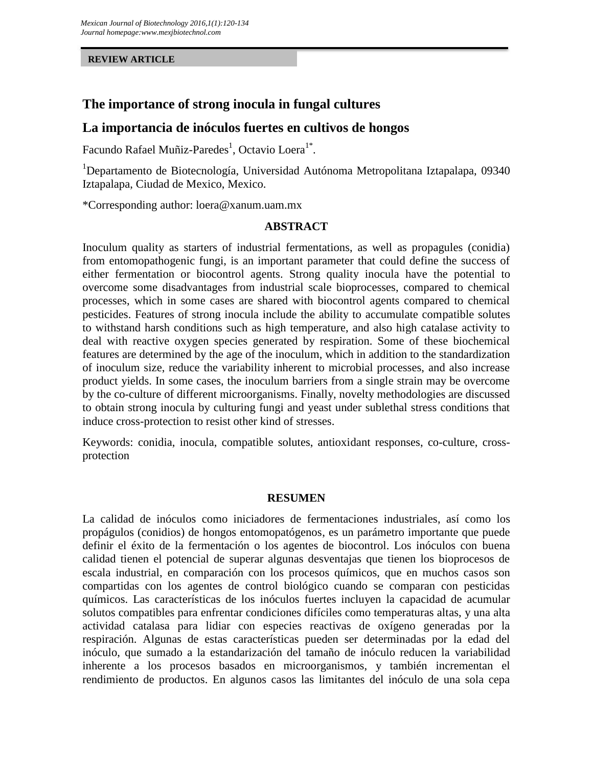#### **REVIEW ARTICLE**

# **The importance of strong inocula in fungal cultures**

#### **La importancia de inóculos fuertes en cultivos de hongos**

Facundo Rafael Muñiz-Paredes<sup>1</sup>, Octavio Loera<sup>1\*</sup>.

<sup>1</sup>Departamento de Biotecnología, Universidad Autónoma Metropolitana Iztapalapa, 09340 Iztapalapa, Ciudad de Mexico, Mexico.

\*Corresponding author: loera@xanum.uam.mx

#### **ABSTRACT**

Inoculum quality as starters of industrial fermentations, as well as propagules (conidia) from entomopathogenic fungi, is an important parameter that could define the success of either fermentation or biocontrol agents. Strong quality inocula have the potential to overcome some disadvantages from industrial scale bioprocesses, compared to chemical processes, which in some cases are shared with biocontrol agents compared to chemical pesticides. Features of strong inocula include the ability to accumulate compatible solutes to withstand harsh conditions such as high temperature, and also high catalase activity to deal with reactive oxygen species generated by respiration. Some of these biochemical features are determined by the age of the inoculum, which in addition to the standardization of inoculum size, reduce the variability inherent to microbial processes, and also increase product yields. In some cases, the inoculum barriers from a single strain may be overcome by the co-culture of different microorganisms. Finally, novelty methodologies are discussed to obtain strong inocula by culturing fungi and yeast under sublethal stress conditions that induce cross-protection to resist other kind of stresses.

Keywords: conidia, inocula, compatible solutes, antioxidant responses, co-culture, cross protection

#### **RESUMEN**

La calidad de inóculos como iniciadores de fermentaciones industriales, así como los propágulos (conidios) de hongos entomopatógenos, es un parámetro importante que puede definir el éxito de la fermentación o los agentes de biocontrol. Los inóculos con buena calidad tienen el potencial de superar algunas desventajas que tienen los bioprocesos de escala industrial, en comparación con los procesos químicos, que en muchos casos son compartidas con los agentes de control biológico cuando se comparan con pesticidas químicos. Las características de los inóculos fuertes incluyen la capacidad de acumular solutos compatibles para enfrentar condiciones difíciles como temperaturas altas, y una alta actividad catalasa para lidiar con especies reactivas de oxígeno generadas por la respiración. Algunas de estas características pueden ser determinadas por la edad del inóculo, que sumado a la estandarización del tamaño de inóculo reducen la variabilidad inherente a los procesos basados en microorganismos, y también incrementan el rendimiento de productos. En algunos casos las limitantes del inóculo de una sola cepa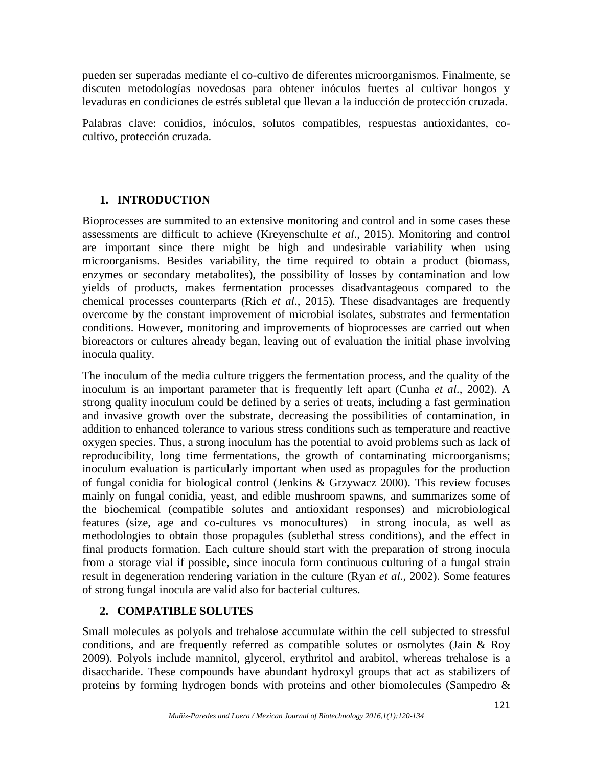pueden ser superadas mediante el co-cultivo de diferentes microorganismos. Finalmente, se discuten metodologías novedosas para obtener inóculos fuertes al cultivar hongos y levaduras en condiciones de estrés subletal que llevan a la inducción de protección cruzada.

Palabras clave: conidios, inóculos, solutos compatibles, respuestas antioxidantes, co cultivo, protección cruzada.

## **1. INTRODUCTION**

Bioprocesses are summited to an extensive monitoring and control and in some cases these assessments are difficult to achieve (Kreyenschulte *et al*., 2015). Monitoring and control are important since there might be high and undesirable variability when using microorganisms. Besides variability, the time required to obtain a product (biomass, enzymes or secondary metabolites), the possibility of losses by contamination and low yields of products, makes fermentation processes disadvantageous compared to the chemical processes counterparts (Rich *et al*., 2015). These disadvantages are frequently overcome by the constant improvement of microbial isolates, substrates and fermentation conditions. However, monitoring and improvements of bioprocesses are carried out when bioreactors or cultures already began, leaving out of evaluation the initial phase involving inocula quality.

The inoculum of the media culture triggers the fermentation process, and the quality of the inoculum is an important parameter that is frequently left apart (Cunha *et al*., 2002). A strong quality inoculum could be defined by a series of treats, including a fast germination and invasive growth over the substrate, decreasing the possibilities of contamination, in addition to enhanced tolerance to various stress conditions such as temperature and reactive oxygen species. Thus, a strong inoculum has the potential to avoid problems such as lack of reproducibility, long time fermentations, the growth of contaminating microorganisms; inoculum evaluation is particularly important when used as propagules for the production of fungal conidia for biological control (Jenkins & Grzywacz 2000). This review focuses mainly on fungal conidia, yeast, and edible mushroom spawns, and summarizes some of the biochemical (compatible solutes and antioxidant responses) and microbiological features (size, age and co-cultures vs monocultures) in strong inocula, as well as methodologies to obtain those propagules (sublethal stress conditions), and the effect in final products formation. Each culture should start with the preparation of strong inocula from a storage vial if possible, since inocula form continuous culturing of a fungal strain result in degeneration rendering variation in the culture (Ryan *et al*., 2002). Some features of strong fungal inocula are valid also for bacterial cultures.

#### **2. COMPATIBLE SOLUTES**

Small molecules as polyols and trehalose accumulate within the cell subjected to stressful conditions, and are frequently referred as compatible solutes or osmolytes (Jain & Roy 2009). Polyols include mannitol, glycerol, erythritol and arabitol, whereas trehalose is a disaccharide. These compounds have abundant hydroxyl groups that act as stabilizers of proteins by forming hydrogen bonds with proteins and other biomolecules (Sampedro &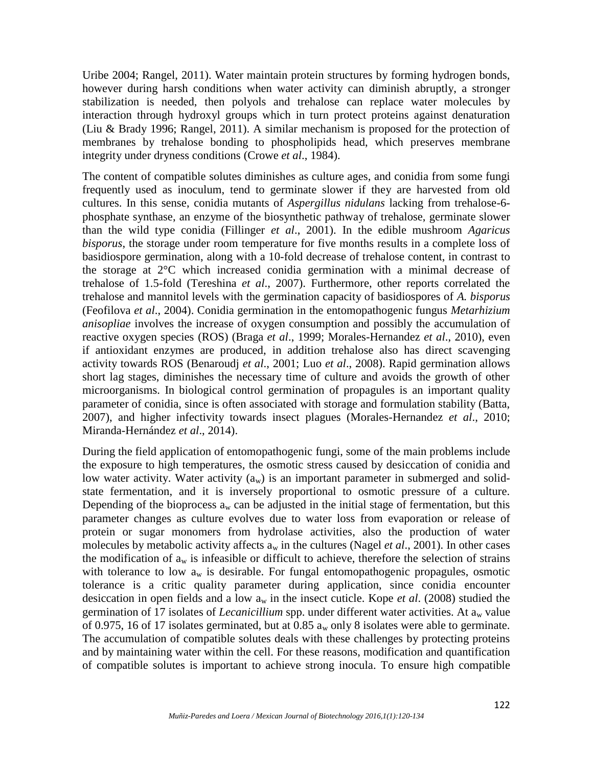Uribe 2004; Rangel, 2011). Water maintain protein structures by forming hydrogen bonds, however during harsh conditions when water activity can diminish abruptly, a stronger stabilization is needed, then polyols and trehalose can replace water molecules by interaction through hydroxyl groups which in turn protect proteins against denaturation (Liu & Brady 1996; Rangel, 2011). A similar mechanism is proposed for the protection of membranes by trehalose bonding to phospholipids head, which preserves membrane integrity under dryness conditions (Crowe *et al*., 1984).

The content of compatible solutes diminishes as culture ages, and conidia from some fungi frequently used as inoculum, tend to germinate slower if they are harvested from old cultures. In this sense, conidia mutants of *Aspergillus nidulans* lacking from trehalose-6 phosphate synthase, an enzyme of the biosynthetic pathway of trehalose, germinate slower than the wild type conidia (Fillinger *et al*., 2001). In the edible mushroom *Agaricus bisporus*, the storage under room temperature for five months results in a complete loss of basidiospore germination, along with a 10-fold decrease of trehalose content, in contrast to the storage at 2°C which increased conidia germination with a minimal decrease of trehalose of 1.5-fold (Tereshina *et al*., 2007). Furthermore, other reports correlated the trehalose and mannitol levels with the germination capacity of basidiospores of *A. bisporus* (Feofilova *et al*., 2004). Conidia germination in the entomopathogenic fungus *Metarhizium anisopliae* involves the increase of oxygen consumption and possibly the accumulation of reactive oxygen species (ROS) (Braga *et al*., 1999; Morales-Hernandez *et al*., 2010), even if antioxidant enzymes are produced, in addition trehalose also has direct scavenging activity towards ROS (Benaroudj *et al*., 2001; Luo *et al*., 2008). Rapid germination allows short lag stages, diminishes the necessary time of culture and avoids the growth of other microorganisms. In biological control germination of propagules is an important quality parameter of conidia, since is often associated with storage and formulation stability (Batta, 2007), and higher infectivity towards insect plagues (Morales-Hernandez *et al*., 2010; Miranda-Hernández *et al*., 2014).

During the field application of entomopathogenic fungi, some of the main problems include the exposure to high temperatures, the osmotic stress caused by desiccation of conidia and low water activity. Water activity  $(a_w)$  is an important parameter in submerged and solidstate fermentation, and it is inversely proportional to osmotic pressure of a culture. Depending of the bioprocess  $a_w$  can be adjusted in the initial stage of fermentation, but this parameter changes as culture evolves due to water loss from evaporation or release of protein or sugar monomers from hydrolase activities, also the production of water molecules by metabolic activity affects  $a_w$  in the cultures (Nagel *et al.*, 2001). In other cases the modification of  $a_w$  is infeasible or difficult to achieve, therefore the selection of strains with tolerance to low  $a_w$  is desirable. For fungal entomopathogenic propagules, osmotic tolerance is a critic quality parameter during application, since conidia encounter desiccation in open fields and a low a<sup>w</sup> in the insect cuticle. Kope *et al*. (2008) studied the germination of 17 isolates of *Lecanicillium* spp. under different water activities. At a<sub>w</sub> value of 0.975, 16 of 17 isolates germinated, but at 0.85  $a_w$  only 8 isolates were able to germinate. The accumulation of compatible solutes deals with these challenges by protecting proteins and by maintaining water within the cell. For these reasons, modification and quantification of compatible solutes is important to achieve strong inocula. To ensure high compatible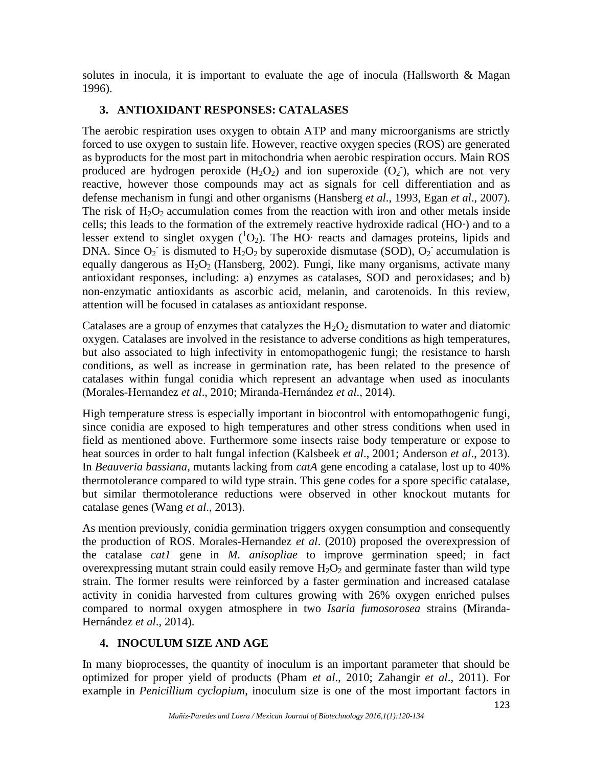solutes in inocula, it is important to evaluate the age of inocula (Hallsworth  $\&$  Magan 1996).

## **3. ANTIOXIDANT RESPONSES: CATALASES**

The aerobic respiration uses oxygen to obtain ATP and many microorganisms are strictly forced to use oxygen to sustain life. However, reactive oxygen species (ROS) are generated as byproducts for the most part in mitochondria when aerobic respiration occurs. Main ROS produced are hydrogen peroxide  $(H_2O_2)$  and ion superoxide  $(O_2)$ , which are not very reactive, however those compounds may act as signals for cell differentiation and as defense mechanism in fungi and other organisms (Hansberg *et al*., 1993, Egan *et al*., 2007). The risk of  $H_2O_2$  accumulation comes from the reaction with iron and other metals inside cells; this leads to the formation of the extremely reactive hydroxide radical (HO∙) and to a lesser extend to singlet oxygen (<sup>1</sup>O2). The HO∙ reacts and damages proteins, lipids and DNA. Since  $O_2$  is dismuted to  $H_2O_2$  by superoxide dismutase (SOD),  $O_2$  accumulation is equally dangerous as  $H_2O_2$  (Hansberg, 2002). Fungi, like many organisms, activate many antioxidant responses, including: a) enzymes as catalases, SOD and peroxidases; and b) non-enzymatic antioxidants as ascorbic acid, melanin, and carotenoids. In this review, attention will be focused in catalases as antioxidant response.

Catalases are a group of enzymes that catalyzes the  $H_2O_2$  dismutation to water and diatomic oxygen. Catalases are involved in the resistance to adverse conditions as high temperatures, but also associated to high infectivity in entomopathogenic fungi; the resistance to harsh conditions, as well as increase in germination rate, has been related to the presence of catalases within fungal conidia which represent an advantage when used as inoculants (Morales-Hernandez *et al*., 2010; Miranda-Hernández *et al*., 2014).

High temperature stress is especially important in biocontrol with entomopathogenic fungi, since conidia are exposed to high temperatures and other stress conditions when used in field as mentioned above. Furthermore some insects raise body temperature or expose to heat sources in order to halt fungal infection (Kalsbeek *et al*., 2001; Anderson *et al*., 2013). In *Beauveria bassiana*, mutants lacking from *catA* gene encoding a catalase, lost up to 40% thermotolerance compared to wild type strain. This gene codes for a spore specific catalase, but similar thermotolerance reductions were observed in other knockout mutants for catalase genes (Wang *et al*., 2013).

As mention previously, conidia germination triggers oxygen consumption and consequently the production of ROS. Morales-Hernandez *et al*. (2010) proposed the overexpression of the catalase *cat1* gene in *M. anisopliae* to improve germination speed; in fact overexpressing mutant strain could easily remove  $H_2O_2$  and germinate faster than wild type strain. The former results were reinforced by a faster germination and increased catalase activity in conidia harvested from cultures growing with 26% oxygen enriched pulses compared to normal oxygen atmosphere in two *Isaria fumosorosea* strains (Miranda- Hernández *et al*., 2014).

## **4. INOCULUM SIZE AND AGE**

In many bioprocesses, the quantity of inoculum is an important parameter that should be optimized for proper yield of products (Pham *et al*., 2010; Zahangir *et al*., 2011). For example in *Penicillium cyclopium*, inoculum size is one of the most important factors in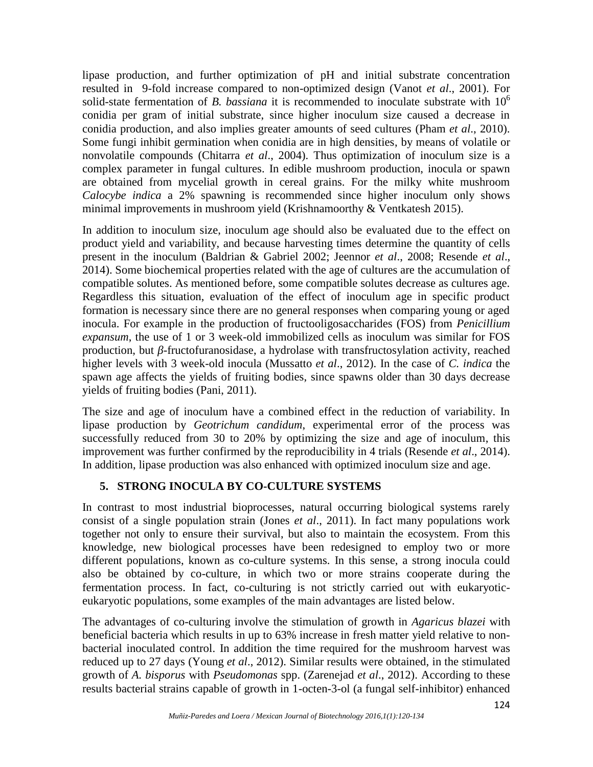lipase production, and further optimization of pH and initial substrate concentration resulted in 9-fold increase compared to non-optimized design (Vanot *et al*., 2001). For solid-state fermentation of *B. bassiana* it is recommended to inoculate substrate with  $10<sup>6</sup>$ conidia per gram of initial substrate, since higher inoculum size caused a decrease in conidia production, and also implies greater amounts of seed cultures (Pham *et al*., 2010). Some fungi inhibit germination when conidia are in high densities, by means of volatile or nonvolatile compounds (Chitarra *et al*., 2004). Thus optimization of inoculum size is a complex parameter in fungal cultures. In edible mushroom production, inocula or spawn are obtained from mycelial growth in cereal grains. For the milky white mushroom *Calocybe indica* a 2% spawning is recommended since higher inoculum only shows minimal improvements in mushroom yield (Krishnamoorthy & Ventkatesh 2015).

In addition to inoculum size, inoculum age should also be evaluated due to the effect on product yield and variability, and because harvesting times determine the quantity of cells present in the inoculum (Baldrian & Gabriel 2002; Jeennor *et al*., 2008; Resende *et al*., 2014). Some biochemical properties related with the age of cultures are the accumulation of compatible solutes. As mentioned before, some compatible solutes decrease as cultures age. Regardless this situation, evaluation of the effect of inoculum age in specific product formation is necessary since there are no general responses when comparing young or aged inocula. For example in the production of fructooligosaccharides (FOS) from *Penicillium expansum*, the use of 1 or 3 week-old immobilized cells as inoculum was similar for FOS production, but -fructofuranosidase, a hydrolase with transfructosylation activity, reached higher levels with 3 week-old inocula (Mussatto *et al*., 2012). In the case of *C. indica* the spawn age affects the yields of fruiting bodies, since spawns older than 30 days decrease yields of fruiting bodies (Pani, 2011).

The size and age of inoculum have a combined effect in the reduction of variability. In lipase production by *Geotrichum candidum*, experimental error of the process was successfully reduced from 30 to 20% by optimizing the size and age of inoculum, this improvement was further confirmed by the reproducibility in 4 trials (Resende *et al*., 2014). In addition, lipase production was also enhanced with optimized inoculum size and age.

## **5. STRONG INOCULA BY CO-CULTURE SYSTEMS**

In contrast to most industrial bioprocesses, natural occurring biological systems rarely consist of a single population strain (Jones *et al*., 2011). In fact many populations work together not only to ensure their survival, but also to maintain the ecosystem. From this knowledge, new biological processes have been redesigned to employ two or more different populations, known as co-culture systems. In this sense, a strong inocula could also be obtained by co-culture, in which two or more strains cooperate during the fermentation process. In fact, co-culturing is not strictly carried out with eukaryotic eukaryotic populations, some examples of the main advantages are listed below.

The advantages of co-culturing involve the stimulation of growth in *Agaricus blazei* with beneficial bacteria which results in up to 63% increase in fresh matter yield relative to non bacterial inoculated control. In addition the time required for the mushroom harvest was reduced up to 27 days (Young *et al*., 2012). Similar results were obtained, in the stimulated growth of *A. bisporus* with *Pseudomonas* spp. (Zarenejad *et al*., 2012). According to these results bacterial strains capable of growth in 1-octen-3-ol (a fungal self-inhibitor) enhanced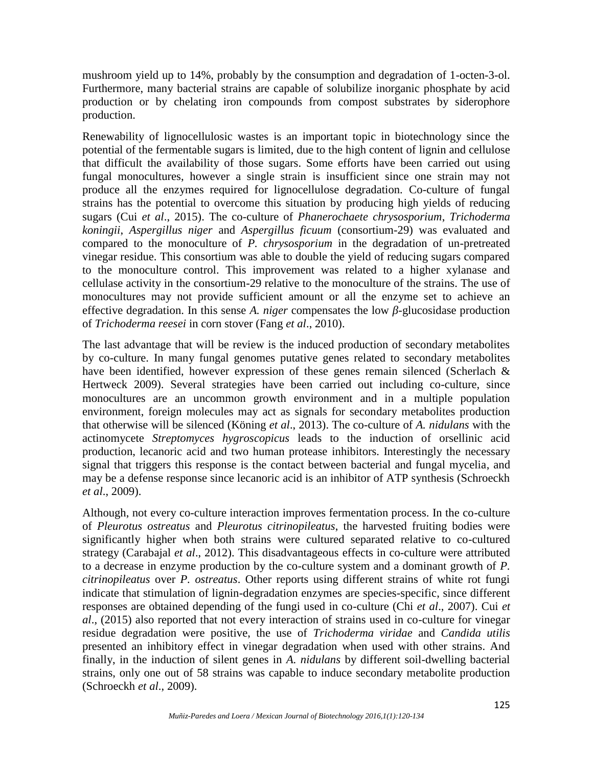mushroom yield up to 14%, probably by the consumption and degradation of 1-octen-3-ol. Furthermore, many bacterial strains are capable of solubilize inorganic phosphate by acid production or by chelating iron compounds from compost substrates by siderophore production.

Renewability of lignocellulosic wastes is an important topic in biotechnology since the potential of the fermentable sugars is limited, due to the high content of lignin and cellulose that difficult the availability of those sugars. Some efforts have been carried out using fungal monocultures, however a single strain is insufficient since one strain may not produce all the enzymes required for lignocellulose degradation. Co-culture of fungal strains has the potential to overcome this situation by producing high yields of reducing sugars (Cui *et al*., 2015). The co-culture of *Phanerochaete chrysosporium*, *Trichoderma koningii*, *Aspergillus niger* and *Aspergillus ficuum* (consortium-29) was evaluated and compared to the monoculture of *P. chrysosporium* in the degradation of un-pretreated vinegar residue. This consortium was able to double the yield of reducing sugars compared to the monoculture control. This improvement was related to a higher xylanase and cellulase activity in the consortium-29 relative to the monoculture of the strains. The use of monocultures may not provide sufficient amount or all the enzyme set to achieve an effective degradation. In this sense *A. niger* compensates the low -glucosidase production of *Trichoderma reesei* in corn stover (Fang *et al*., 2010).

The last advantage that will be review is the induced production of secondary metabolites by co-culture. In many fungal genomes putative genes related to secondary metabolites have been identified, however expression of these genes remain silenced (Scherlach & Hertweck 2009). Several strategies have been carried out including co-culture, since monocultures are an uncommon growth environment and in a multiple population environment, foreign molecules may act as signals for secondary metabolites production that otherwise will be silenced (Köning *et al*., 2013). The co-culture of *A. nidulans* with the actinomycete *Streptomyces hygroscopicus* leads to the induction of orsellinic acid production, lecanoric acid and two human protease inhibitors. Interestingly the necessary signal that triggers this response is the contact between bacterial and fungal mycelia, and may be a defense response since lecanoric acid is an inhibitor of ATP synthesis (Schroeckh *et al*., 2009).

Although, not every co-culture interaction improves fermentation process. In the co-culture of *Pleurotus ostreatus* and *Pleurotus citrinopileatus*, the harvested fruiting bodies were significantly higher when both strains were cultured separated relative to co-cultured strategy (Carabajal *et al*., 2012). This disadvantageous effects in co-culture were attributed to a decrease in enzyme production by the co-culture system and a dominant growth of *P. citrinopileatus* over *P. ostreatus*. Other reports using different strains of white rot fungi indicate that stimulation of lignin-degradation enzymes are species-specific, since different responses are obtained depending of the fungi used in co-culture (Chi *et al*., 2007). Cui *et al*., (2015) also reported that not every interaction of strains used in co-culture for vinegar residue degradation were positive, the use of *Trichoderma viridae* and *Candida utilis* presented an inhibitory effect in vinegar degradation when used with other strains. And finally, in the induction of silent genes in *A. nidulans* by different soil-dwelling bacterial strains, only one out of 58 strains was capable to induce secondary metabolite production (Schroeckh *et al*., 2009).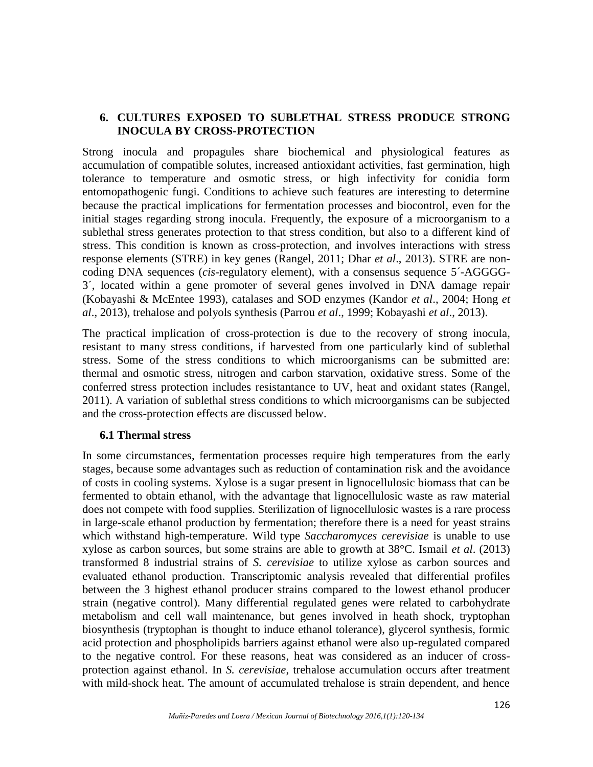#### **6. CULTURES EXPOSED TO SUBLETHAL STRESS PRODUCE STRONG INOCULA BY CROSS-PROTECTION**

Strong inocula and propagules share biochemical and physiological features as accumulation of compatible solutes, increased antioxidant activities, fast germination, high tolerance to temperature and osmotic stress, or high infectivity for conidia form entomopathogenic fungi. Conditions to achieve such features are interesting to determine because the practical implications for fermentation processes and biocontrol, even for the initial stages regarding strong inocula. Frequently, the exposure of a microorganism to a sublethal stress generates protection to that stress condition, but also to a different kind of stress. This condition is known as cross-protection, and involves interactions with stress response elements (STRE) in key genes (Rangel, 2011; Dhar *et al*., 2013). STRE are non coding DNA sequences (*cis*-regulatory element), with a consensus sequence 5´-AGGGG- 3´, located within a gene promoter of several genes involved in DNA damage repair (Kobayashi & McEntee 1993), catalases and SOD enzymes (Kandor *et al*., 2004; Hong *et al*., 2013), trehalose and polyols synthesis (Parrou *et al*., 1999; Kobayashi *et al*., 2013).

The practical implication of cross-protection is due to the recovery of strong inocula, resistant to many stress conditions, if harvested from one particularly kind of sublethal stress. Some of the stress conditions to which microorganisms can be submitted are: thermal and osmotic stress, nitrogen and carbon starvation, oxidative stress. Some of the conferred stress protection includes resistantance to UV, heat and oxidant states (Rangel, 2011). A variation of sublethal stress conditions to which microorganisms can be subjected and the cross-protection effects are discussed below.

#### **6.1 Thermal stress**

In some circumstances, fermentation processes require high temperatures from the early stages, because some advantages such as reduction of contamination risk and the avoidance of costs in cooling systems. Xylose is a sugar present in lignocellulosic biomass that can be fermented to obtain ethanol, with the advantage that lignocellulosic waste as raw material does not compete with food supplies. Sterilization of lignocellulosic wastes is a rare process in large-scale ethanol production by fermentation; therefore there is a need for yeast strains which withstand high-temperature. Wild type *Saccharomyces cerevisiae* is unable to use xylose as carbon sources, but some strains are able to growth at 38°C. Ismail *et al*. (2013) transformed 8 industrial strains of *S. cerevisiae* to utilize xylose as carbon sources and evaluated ethanol production. Transcriptomic analysis revealed that differential profiles between the 3 highest ethanol producer strains compared to the lowest ethanol producer strain (negative control). Many differential regulated genes were related to carbohydrate metabolism and cell wall maintenance, but genes involved in heath shock, tryptophan biosynthesis (tryptophan is thought to induce ethanol tolerance), glycerol synthesis, formic acid protection and phospholipids barriers against ethanol were also up-regulated compared to the negative control. For these reasons, heat was considered as an inducer of cross protection against ethanol. In *S. cerevisiae*, trehalose accumulation occurs after treatment with mild-shock heat. The amount of accumulated trehalose is strain dependent, and hence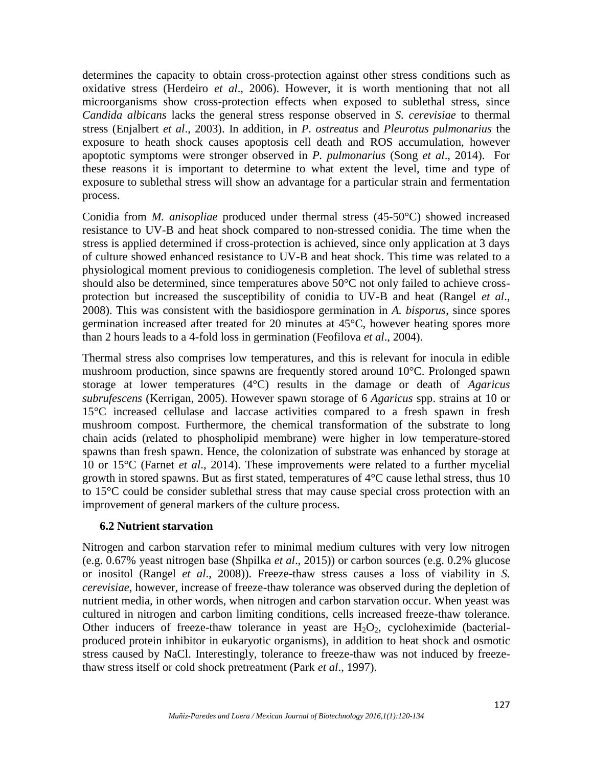determines the capacity to obtain cross-protection against other stress conditions such as oxidative stress (Herdeiro *et al*., 2006). However, it is worth mentioning that not all microorganisms show cross-protection effects when exposed to sublethal stress, since *Candida albicans* lacks the general stress response observed in *S. cerevisiae* to thermal stress (Enjalbert *et al*., 2003). In addition, in *P. ostreatus* and *Pleurotus pulmonarius* the exposure to heath shock causes apoptosis cell death and ROS accumulation, however apoptotic symptoms were stronger observed in *P. pulmonarius* (Song *et al*., 2014). For these reasons it is important to determine to what extent the level, time and type of exposure to sublethal stress will show an advantage for a particular strain and fermentation process.

Conidia from *M. anisopliae* produced under thermal stress (45-50°C) showed increased resistance to UV-B and heat shock compared to non-stressed conidia. The time when the stress is applied determined if cross-protection is achieved, since only application at 3 days of culture showed enhanced resistance to UV-B and heat shock. This time was related to a physiological moment previous to conidiogenesis completion. The level of sublethal stress should also be determined, since temperatures above 50°C not only failed to achieve cross protection but increased the susceptibility of conidia to UV-B and heat (Rangel *et al*., 2008). This was consistent with the basidiospore germination in *A. bisporus*, since spores germination increased after treated for 20 minutes at 45°C, however heating spores more than 2 hours leads to a 4-fold loss in germination (Feofilova *et al*., 2004).

Thermal stress also comprises low temperatures, and this is relevant for inocula in edible mushroom production, since spawns are frequently stored around 10°C. Prolonged spawn storage at lower temperatures (4°C) results in the damage or death of *Agaricus subrufescens* (Kerrigan, 2005). However spawn storage of 6 *Agaricus* spp. strains at 10 or 15°C increased cellulase and laccase activities compared to a fresh spawn in fresh mushroom compost. Furthermore, the chemical transformation of the substrate to long chain acids (related to phospholipid membrane) were higher in low temperature-stored spawns than fresh spawn. Hence, the colonization of substrate was enhanced by storage at 10 or 15°C (Farnet *et al*., 2014). These improvements were related to a further mycelial growth in stored spawns. But as first stated, temperatures of 4°C cause lethal stress, thus 10 to 15°C could be consider sublethal stress that may cause special cross protection with an improvement of general markers of the culture process.

#### **6.2 Nutrient starvation**

Nitrogen and carbon starvation refer to minimal medium cultures with very low nitrogen (e.g. 0.67% yeast nitrogen base (Shpilka *et al*., 2015)) or carbon sources (e.g. 0.2% glucose or inositol (Rangel *et al*., 2008)). Freeze-thaw stress causes a loss of viability in *S. cerevisiae*, however, increase of freeze-thaw tolerance was observed during the depletion of nutrient media, in other words, when nitrogen and carbon starvation occur. When yeast was cultured in nitrogen and carbon limiting conditions, cells increased freeze-thaw tolerance. Other inducers of freeze-thaw tolerance in yeast are  $H_2O_2$ , cycloheximide (bacterialproduced protein inhibitor in eukaryotic organisms), in addition to heat shock and osmotic stress caused by NaCl. Interestingly, tolerance to freeze-thaw was not induced by freezethaw stress itself or cold shock pretreatment (Park *et al*., 1997).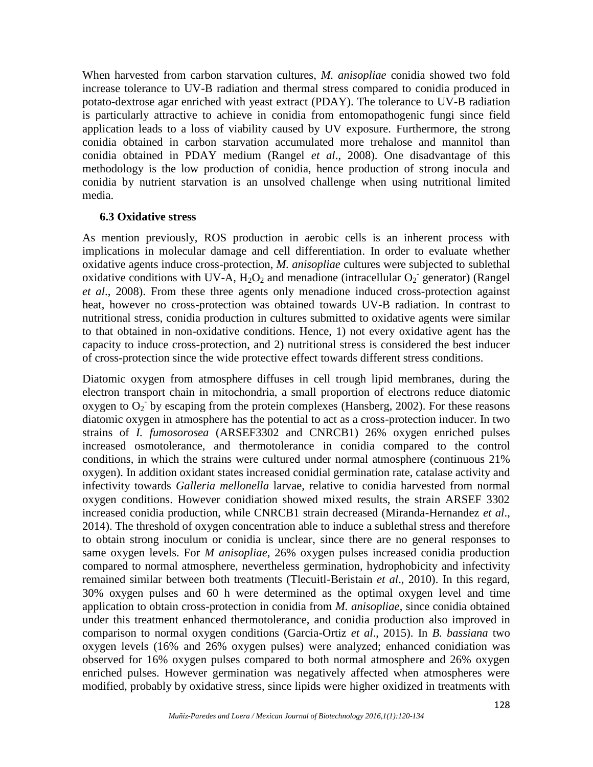When harvested from carbon starvation cultures, *M. anisopliae* conidia showed two fold increase tolerance to UV-B radiation and thermal stress compared to conidia produced in potato-dextrose agar enriched with yeast extract (PDAY). The tolerance to UV-B radiation is particularly attractive to achieve in conidia from entomopathogenic fungi since field application leads to a loss of viability caused by UV exposure. Furthermore, the strong conidia obtained in carbon starvation accumulated more trehalose and mannitol than conidia obtained in PDAY medium (Rangel *et al*., 2008). One disadvantage of this methodology is the low production of conidia, hence production of strong inocula and conidia by nutrient starvation is an unsolved challenge when using nutritional limited media.

#### **6.3 Oxidative stress**

As mention previously, ROS production in aerobic cells is an inherent process with implications in molecular damage and cell differentiation. In order to evaluate whether oxidative agents induce cross-protection, *M. anisopliae* cultures were subjected to sublethal oxidative conditions with UV-A,  $H_2O_2$  and menadione (intracellular  $O_2$  generator) (Rangel *et al*., 2008). From these three agents only menadione induced cross-protection against heat, however no cross-protection was obtained towards UV-B radiation. In contrast to nutritional stress, conidia production in cultures submitted to oxidative agents were similar to that obtained in non-oxidative conditions. Hence, 1) not every oxidative agent has the capacity to induce cross-protection, and 2) nutritional stress is considered the best inducer of cross-protection since the wide protective effect towards different stress conditions.

Diatomic oxygen from atmosphere diffuses in cell trough lipid membranes, during the electron transport chain in mitochondria, a small proportion of electrons reduce diatomic oxygen to  $O_2$  by escaping from the protein complexes (Hansberg, 2002). For these reasons diatomic oxygen in atmosphere has the potential to act as a cross-protection inducer. In two strains of *I. fumosorosea* (ARSEF3302 and CNRCB1) 26% oxygen enriched pulses increased osmotolerance, and thermotolerance in conidia compared to the control conditions, in which the strains were cultured under normal atmosphere (continuous 21% oxygen). In addition oxidant states increased conidial germination rate, catalase activity and infectivity towards *Galleria mellonella* larvae, relative to conidia harvested from normal oxygen conditions. However conidiation showed mixed results, the strain ARSEF 3302 increased conidia production, while CNRCB1 strain decreased (Miranda-Hernandez *et al*., 2014). The threshold of oxygen concentration able to induce a sublethal stress and therefore to obtain strong inoculum or conidia is unclear, since there are no general responses to same oxygen levels. For *M anisopliae*, 26% oxygen pulses increased conidia production compared to normal atmosphere, nevertheless germination, hydrophobicity and infectivity remained similar between both treatments (Tlecuitl-Beristain *et al*., 2010). In this regard, 30% oxygen pulses and 60 h were determined as the optimal oxygen level and time application to obtain cross-protection in conidia from *M. anisopliae*, since conidia obtained under this treatment enhanced thermotolerance, and conidia production also improved in comparison to normal oxygen conditions (Garcia-Ortiz *et al*., 2015). In *B. bassiana* two oxygen levels (16% and 26% oxygen pulses) were analyzed; enhanced conidiation was observed for 16% oxygen pulses compared to both normal atmosphere and 26% oxygen enriched pulses. However germination was negatively affected when atmospheres were modified, probably by oxidative stress, since lipids were higher oxidized in treatments with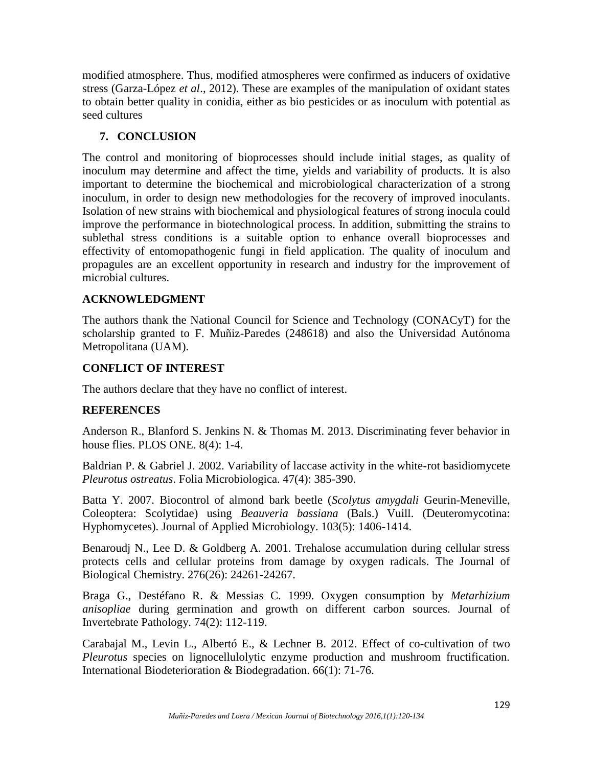modified atmosphere. Thus, modified atmospheres were confirmed as inducers of oxidative stress (Garza-López *et al*., 2012). These are examples of the manipulation of oxidant states to obtain better quality in conidia, either as bio pesticides or as inoculum with potential as seed cultures

## **7. CONCLUSION**

The control and monitoring of bioprocesses should include initial stages, as quality of inoculum may determine and affect the time, yields and variability of products. It is also important to determine the biochemical and microbiological characterization of a strong inoculum, in order to design new methodologies for the recovery of improved inoculants. Isolation of new strains with biochemical and physiological features of strong inocula could improve the performance in biotechnological process. In addition, submitting the strains to sublethal stress conditions is a suitable option to enhance overall bioprocesses and effectivity of entomopathogenic fungi in field application. The quality of inoculum and propagules are an excellent opportunity in research and industry for the improvement of microbial cultures.

## **ACKNOWLEDGMENT**

The authors thank the National Council for Science and Technology (CONACyT) for the scholarship granted to F. Muñiz-Paredes (248618) and also the Universidad Autónoma Metropolitana (UAM).

# **CONFLICT OF INTEREST**

The authors declare that they have no conflict of interest.

## **REFERENCES**

Anderson R., Blanford S. Jenkins N. & Thomas M. 2013. Discriminating fever behavior in house flies. PLOS ONE. 8(4): 1-4.

Baldrian P. & Gabriel J. 2002. Variability of laccase activity in the white-rot basidiomycete *Pleurotus ostreatus*. Folia Microbiologica. 47(4): 385-390.

Batta Y. 2007. Biocontrol of almond bark beetle (*Scolytus amygdali* Geurin-Meneville, Coleoptera: Scolytidae) using *Beauveria bassiana* (Bals.) Vuill. (Deuteromycotina: Hyphomycetes). Journal of Applied Microbiology. 103(5): 1406-1414.

Benaroudj N., Lee D. & Goldberg A. 2001. Trehalose accumulation during cellular stress protects cells and cellular proteins from damage by oxygen radicals. The Journal of Biological Chemistry. 276(26): 24261-24267.

Braga G., Destéfano R. & Messias C. 1999. Oxygen consumption by *Metarhizium anisopliae* during germination and growth on different carbon sources. Journal of Invertebrate Pathology. 74(2): 112-119.

Carabajal M., Levin L., Albertó E., & Lechner B. 2012. Effect of co-cultivation of two *Pleurotus* species on lignocellulolytic enzyme production and mushroom fructification. International Biodeterioration & Biodegradation. 66(1): 71-76.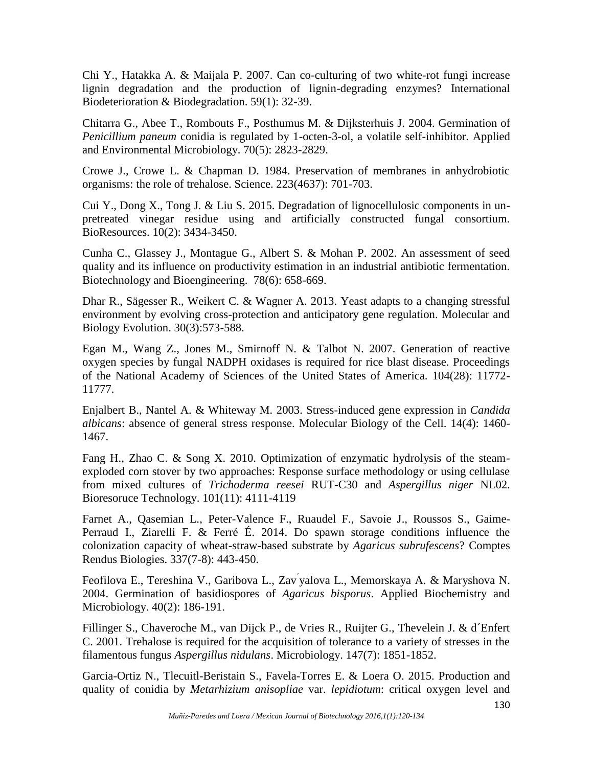Chi Y., Hatakka A. & Maijala P. 2007. Can co-culturing of two white-rot fungi increase lignin degradation and the production of lignin-degrading enzymes? International Biodeterioration & Biodegradation. 59(1): 32-39.

Chitarra G., Abee T., Rombouts F., Posthumus M. & Dijksterhuis J. 2004. Germination of *Penicillium paneum* conidia is regulated by 1-octen-3-ol, a volatile self-inhibitor. Applied and Environmental Microbiology. 70(5): 2823-2829.

Crowe J., Crowe L. & Chapman D. 1984. Preservation of membranes in anhydrobiotic organisms: the role of trehalose. Science. 223(4637): 701-703.

Cui Y., Dong X., Tong J. & Liu S. 2015. Degradation of lignocellulosic components in un pretreated vinegar residue using and artificially constructed fungal consortium. BioResources. 10(2): 3434-3450.

Cunha C., Glassey J., Montague G., Albert S. & Mohan P. 2002. An assessment of seed quality and its influence on productivity estimation in an industrial antibiotic fermentation. Biotechnology and Bioengineering. 78(6): 658-669.

Dhar R., Sägesser R., Weikert C. & Wagner A. 2013. Yeast adapts to a changing stressful environment by evolving cross-protection and anticipatory gene regulation. Molecular and Biology Evolution. 30(3):573-588.

Egan M., Wang Z., Jones M., Smirnoff N. & Talbot N. 2007. Generation of reactive oxygen species by fungal NADPH oxidases is required for rice blast disease. Proceedings of the National Academy of Sciences of the United States of America. 104(28): 11772- 11777.

Enjalbert B., Nantel A. & Whiteway M. 2003. Stress-induced gene expression in *Candida albicans*: absence of general stress response. Molecular Biology of the Cell. 14(4): 1460- 1467.

Fang H., Zhao C. & Song X. 2010. Optimization of enzymatic hydrolysis of the steam exploded corn stover by two approaches: Response surface methodology or using cellulase from mixed cultures of *Trichoderma reesei* RUT-C30 and *Aspergillus niger* NL02. Bioresoruce Technology. 101(11): 4111-4119

Farnet A., Qasemian L., Peter-Valence F., Ruaudel F., Savoie J., Roussos S., Gaime- Perraud I., Ziarelli F. & Ferré É. 2014. Do spawn storage conditions influence the colonization capacity of wheat-straw-based substrate by *Agaricus subrufescens*? Comptes Rendus Biologies. 337(7-8): 443-450.

Feofilova E., Tereshina V., Garibova L., Zav´yalova L., Memorskaya A. & Maryshova N. 2004. Germination of basidiospores of *Agaricus bisporus*. Applied Biochemistry and Microbiology. 40(2): 186-191.

Fillinger S., Chaveroche M., van Dijck P., de Vries R., Ruijter G., Thevelein J. & d´Enfert C. 2001. Trehalose is required for the acquisition of tolerance to a variety of stresses in the filamentous fungus *Aspergillus nidulans*. Microbiology. 147(7): 1851-1852.

Garcia-Ortiz N., Tlecuitl-Beristain S., Favela-Torres E. & Loera O. 2015. Production and quality of conidia by *Metarhizium anisopliae* var. *lepidiotum*: critical oxygen level and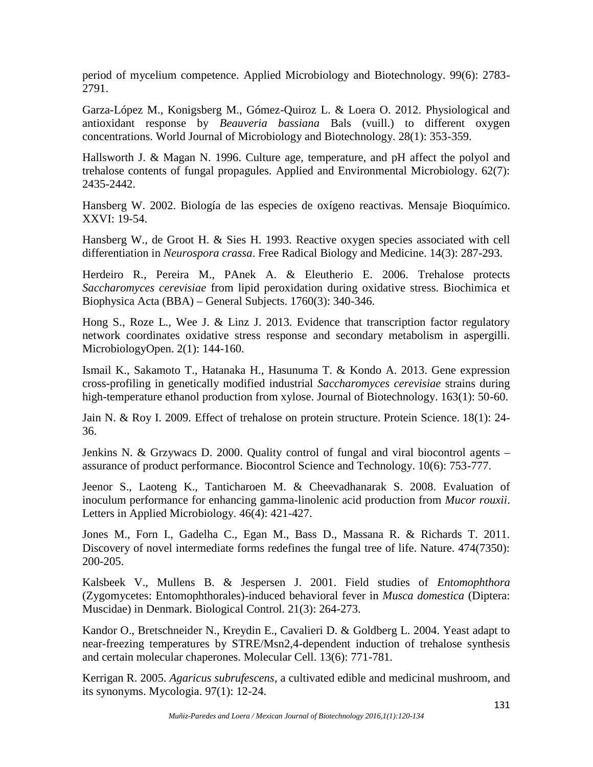period of mycelium competence. Applied Microbiology and Biotechnology. 99(6): 2783- 2791.

Garza-López M., Konigsberg M., Gómez-Quiroz L. & Loera O. 2012. Physiological and antioxidant response by *Beauveria bassiana* Bals (vuill.) to different oxygen concentrations. World Journal of Microbiology and Biotechnology. 28(1): 353-359.

Hallsworth J. & Magan N. 1996. Culture age, temperature, and pH affect the polyol and trehalose contents of fungal propagules. Applied and Environmental Microbiology. 62(7): 2435-2442.

Hansberg W. 2002. Biología de las especies de oxígeno reactivas. Mensaje Bioquímico. XXVI: 19-54.

Hansberg W., de Groot H. & Sies H. 1993. Reactive oxygen species associated with cell differentiation in *Neurospora crassa*. Free Radical Biology and Medicine. 14(3): 287-293.

Herdeiro R., Pereira M., PAnek A. & Eleutherio E. 2006. Trehalose protects *Saccharomyces cerevisiae* from lipid peroxidation during oxidative stress. Biochimica et Biophysica Acta (BBA) – General Subjects. 1760(3): 340-346.

Hong S., Roze L., Wee J. & Linz J. 2013. Evidence that transcription factor regulatory network coordinates oxidative stress response and secondary metabolism in aspergilli. MicrobiologyOpen. 2(1): 144-160.

Ismail K., Sakamoto T., Hatanaka H., Hasunuma T. & Kondo A. 2013. Gene expression cross-profiling in genetically modified industrial *Saccharomyces cerevisiae* strains during high-temperature ethanol production from xylose. Journal of Biotechnology. 163(1): 50-60.

Jain N. & Roy I. 2009. Effect of trehalose on protein structure. Protein Science. 18(1): 24- 36.

Jenkins N. & Grzywacs D. 2000. Quality control of fungal and viral biocontrol agents – assurance of product performance. Biocontrol Science and Technology. 10(6): 753-777.

Jeenor S., Laoteng K., Tanticharoen M. & Cheevadhanarak S. 2008. Evaluation of inoculum performance for enhancing gamma-linolenic acid production from *Mucor rouxii*. Letters in Applied Microbiology. 46(4): 421-427.

Jones M., Forn I., Gadelha C., Egan M., Bass D., Massana R. & Richards T. 2011. Discovery of novel intermediate forms redefines the fungal tree of life. Nature. 474(7350): 200-205.

Kalsbeek V., Mullens B. & Jespersen J. 2001. Field studies of *Entomophthora* (Zygomycetes: Entomophthorales)-induced behavioral fever in *Musca domestica* (Diptera: Muscidae) in Denmark. Biological Control. 21(3): 264-273.

Kandor O., Bretschneider N., Kreydin E., Cavalieri D. & Goldberg L. 2004. Yeast adapt to near-freezing temperatures by STRE/Msn2,4-dependent induction of trehalose synthesis and certain molecular chaperones. Molecular Cell. 13(6): 771-781.

Kerrigan R. 2005. *Agaricus subrufescens*, a cultivated edible and medicinal mushroom, and its synonyms. Mycologia. 97(1): 12-24.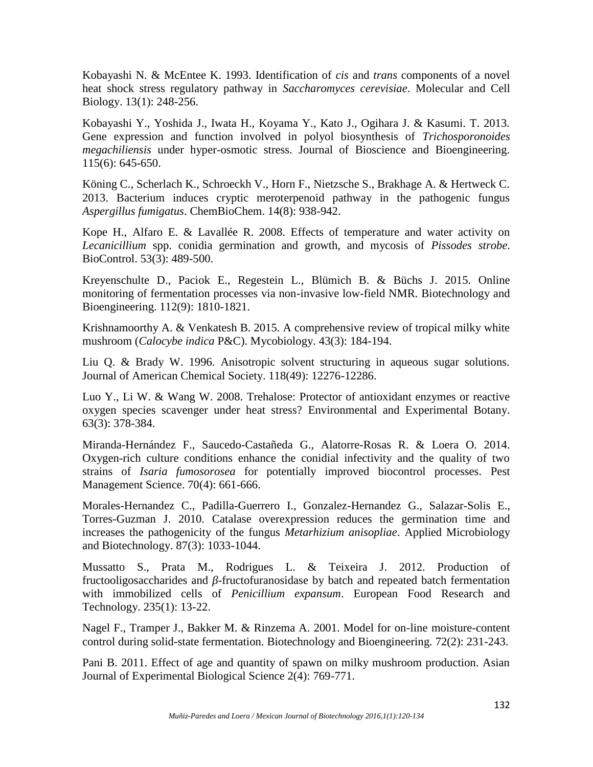Kobayashi N. & McEntee K. 1993. Identification of *cis* and *trans* components of a novel heat shock stress regulatory pathway in *Saccharomyces cerevisiae*. Molecular and Cell Biology. 13(1): 248-256.

Kobayashi Y., Yoshida J., Iwata H., Koyama Y., Kato J., Ogihara J. & Kasumi. T. 2013. Gene expression and function involved in polyol biosynthesis of *Trichosporonoides megachiliensis* under hyper-osmotic stress. Journal of Bioscience and Bioengineering. 115(6): 645-650.

Köning C., Scherlach K., Schroeckh V., Horn F., Nietzsche S., Brakhage A. & Hertweck C. 2013. Bacterium induces cryptic meroterpenoid pathway in the pathogenic fungus *Aspergillus fumigatus*. ChemBioChem. 14(8): 938-942.

Kope H., Alfaro E. & Lavallée R. 2008. Effects of temperature and water activity on *Lecanicillium* spp. conidia germination and growth, and mycosis of *Pissodes strobe*. BioControl. 53(3): 489-500.

Kreyenschulte D., Paciok E., Regestein L., Blümich B. & Büchs J. 2015. Online monitoring of fermentation processes via non-invasive low-field NMR. Biotechnology and Bioengineering. 112(9): 1810-1821.

Krishnamoorthy A. & Venkatesh B. 2015. A comprehensive review of tropical milky white mushroom (*Calocybe indica* P&C). Mycobiology. 43(3): 184-194.

Liu Q. & Brady W. 1996. Anisotropic solvent structuring in aqueous sugar solutions. Journal of American Chemical Society. 118(49): 12276-12286.

Luo Y., Li W. & Wang W. 2008. Trehalose: Protector of antioxidant enzymes or reactive oxygen species scavenger under heat stress? Environmental and Experimental Botany. 63(3): 378-384.

Miranda-Hernández F., Saucedo-Castañeda G., Alatorre-Rosas R. & Loera O. 2014. Oxygen-rich culture conditions enhance the conidial infectivity and the quality of two strains of *Isaria fumosorosea* for potentially improved biocontrol processes. Pest Management Science. 70(4): 661-666.

Morales-Hernandez C., Padilla-Guerrero I., Gonzalez-Hernandez G., Salazar-Solis E., Torres-Guzman J. 2010. Catalase overexpression reduces the germination time and increases the pathogenicity of the fungus *Metarhizium anisopliae*. Applied Microbiology and Biotechnology. 87(3): 1033-1044.

Mussatto S., Prata M., Rodrigues L. & Teixeira J. 2012. Production of fructooligosaccharides and -fructofuranosidase by batch and repeated batch fermentation with immobilized cells of *Penicillium expansum*. European Food Research and Technology. 235(1): 13-22.

Nagel F., Tramper J., Bakker M. & Rinzema A. 2001. Model for on-line moisture-content control during solid-state fermentation. Biotechnology and Bioengineering. 72(2): 231-243.

Pani B. 2011. Effect of age and quantity of spawn on milky mushroom production. Asian Journal of Experimental Biological Science 2(4): 769-771.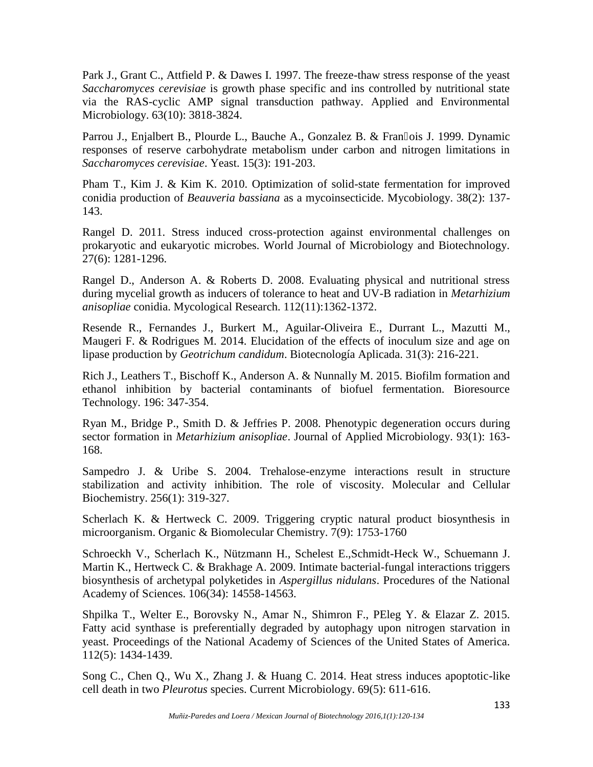Park J., Grant C., Attfield P. & Dawes I. 1997. The freeze-thaw stress response of the yeast *Saccharomyces cerevisiae* is growth phase specific and ins controlled by nutritional state via the RAS-cyclic AMP signal transduction pathway. Applied and Environmental Microbiology. 63(10): 3818-3824.

Parrou J., Enjalbert B., Plourde L., Bauche A., Gonzalez B. & Fran ois J. 1999. Dynamic responses of reserve carbohydrate metabolism under carbon and nitrogen limitations in *Saccharomyces cerevisiae*. Yeast. 15(3): 191-203.

Pham T., Kim J. & Kim K. 2010. Optimization of solid-state fermentation for improved conidia production of *Beauveria bassiana* as a mycoinsecticide. Mycobiology. 38(2): 137- 143.

Rangel D. 2011. Stress induced cross-protection against environmental challenges on prokaryotic and eukaryotic microbes. World Journal of Microbiology and Biotechnology. 27(6): 1281-1296.

Rangel D., Anderson A. & Roberts D. 2008. Evaluating physical and nutritional stress during mycelial growth as inducers of tolerance to heat and UV-B radiation in *Metarhizium anisopliae* conidia. Mycological Research. 112(11):1362-1372.

Resende R., Fernandes J., Burkert M., Aguilar-Oliveira E., Durrant L., Mazutti M., Maugeri F. & Rodrigues M. 2014. Elucidation of the effects of inoculum size and age on lipase production by *Geotrichum candidum*. Biotecnología Aplicada. 31(3): 216-221.

Rich J., Leathers T., Bischoff K., Anderson A. & Nunnally M. 2015. Biofilm formation and ethanol inhibition by bacterial contaminants of biofuel fermentation. Bioresource Technology. 196: 347-354.

Ryan M., Bridge P., Smith D. & Jeffries P. 2008. Phenotypic degeneration occurs during sector formation in *Metarhizium anisopliae*. Journal of Applied Microbiology. 93(1): 163- 168.

Sampedro J. & Uribe S. 2004. Trehalose-enzyme interactions result in structure stabilization and activity inhibition. The role of viscosity. Molecular and Cellular Biochemistry. 256(1): 319-327.

Scherlach K. & Hertweck C. 2009. Triggering cryptic natural product biosynthesis in microorganism. Organic & Biomolecular Chemistry. 7(9): 1753-1760

Schroeckh V., Scherlach K., Nützmann H., Schelest E.,Schmidt-Heck W., Schuemann J. Martin K., Hertweck C. & Brakhage A. 2009. Intimate bacterial-fungal interactions triggers biosynthesis of archetypal polyketides in *Aspergillus nidulans*. Procedures of the National Academy of Sciences. 106(34): 14558-14563.

Shpilka T., Welter E., Borovsky N., Amar N., Shimron F., PEleg Y. & Elazar Z. 2015. Fatty acid synthase is preferentially degraded by autophagy upon nitrogen starvation in yeast. Proceedings of the National Academy of Sciences of the United States of America. 112(5): 1434-1439.

Song C., Chen Q., Wu X., Zhang J. & Huang C. 2014. Heat stress induces apoptotic-like cell death in two *Pleurotus* species. Current Microbiology. 69(5): 611-616.